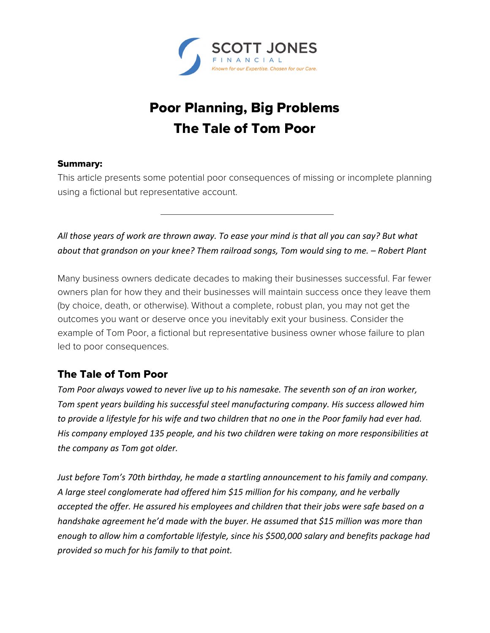

# Poor Planning, Big Problems The Tale of Tom Poor

# Summary:

This article presents some potential poor consequences of missing or incomplete planning using a fictional but representative account.

*All those years of work are thrown away. To ease your mind is that all you can say? But what about that grandson on your knee? Them railroad songs, Tom would sing to me. – Robert Plant* 

Many business owners dedicate decades to making their businesses successful. Far fewer owners plan for how they and their businesses will maintain success once they leave them (by choice, death, or otherwise). Without a complete, robust plan, you may not get the outcomes you want or deserve once you inevitably exit your business. Consider the example of Tom Poor, a fictional but representative business owner whose failure to plan led to poor consequences.

# The Tale of Tom Poor

*Tom Poor always vowed to never live up to his namesake. The seventh son of an iron worker, Tom spent years building his successful steel manufacturing company. His success allowed him to provide a lifestyle for his wife and two children that no one in the Poor family had ever had. His company employed 135 people, and his two children were taking on more responsibilities at the company as Tom got older.* 

*Just before Tom's 70th birthday, he made a startling announcement to his family and company. A large steel conglomerate had offered him \$15 million for his company, and he verbally accepted the offer. He assured his employees and children that their jobs were safe based on a handshake agreement he'd made with the buyer. He assumed that \$15 million was more than enough to allow him a comfortable lifestyle, since his \$500,000 salary and benefits package had provided so much for his family to that point.*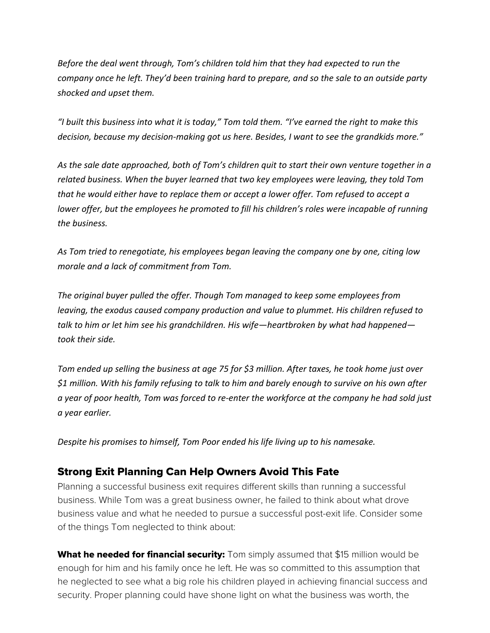*Before the deal went through, Tom's children told him that they had expected to run the company once he left. They'd been training hard to prepare, and so the sale to an outside party shocked and upset them.* 

*"I built this business into what it is today," Tom told them. "I've earned the right to make this decision, because my decision‐making got us here. Besides, I want to see the grandkids more."* 

*As the sale date approached, both of Tom's children quit to start their own venture together in a related business. When the buyer learned that two key employees were leaving, they told Tom that he would either have to replace them or accept a lower offer. Tom refused to accept a lower offer, but the employees he promoted to fill his children's roles were incapable of running the business.* 

*As Tom tried to renegotiate, his employees began leaving the company one by one, citing low morale and a lack of commitment from Tom.* 

*The original buyer pulled the offer. Though Tom managed to keep some employees from leaving, the exodus caused company production and value to plummet. His children refused to talk to him or let him see his grandchildren. His wife—heartbroken by what had happened took their side.* 

*Tom ended up selling the business at age 75 for \$3 million. After taxes, he took home just over \$1 million. With his family refusing to talk to him and barely enough to survive on his own after a year of poor health, Tom was forced to re‐enter the workforce at the company he had sold just a year earlier.* 

*Despite his promises to himself, Tom Poor ended his life living up to his namesake.* 

# Strong Exit Planning Can Help Owners Avoid This Fate

Planning a successful business exit requires different skills than running a successful business. While Tom was a great business owner, he failed to think about what drove business value and what he needed to pursue a successful post-exit life. Consider some of the things Tom neglected to think about:

What he needed for financial security: Tom simply assumed that \$15 million would be enough for him and his family once he left. He was so committed to this assumption that he neglected to see what a big role his children played in achieving financial success and security. Proper planning could have shone light on what the business was worth, the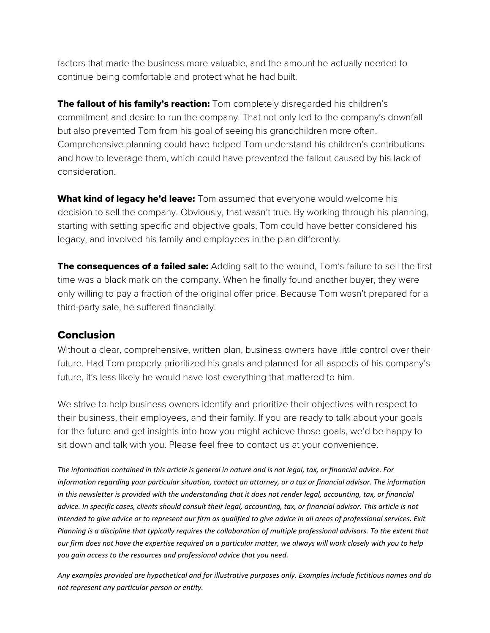factors that made the business more valuable, and the amount he actually needed to continue being comfortable and protect what he had built.

The fallout of his family's reaction: Tom completely disregarded his children's commitment and desire to run the company. That not only led to the company's downfall but also prevented Tom from his goal of seeing his grandchildren more often. Comprehensive planning could have helped Tom understand his children's contributions and how to leverage them, which could have prevented the fallout caused by his lack of consideration.

What kind of legacy he'd leave: Tom assumed that everyone would welcome his decision to sell the company. Obviously, that wasn't true. By working through his planning, starting with setting specific and objective goals, Tom could have better considered his legacy, and involved his family and employees in the plan differently.

**The consequences of a failed sale:** Adding salt to the wound, Tom's failure to sell the first time was a black mark on the company. When he finally found another buyer, they were only willing to pay a fraction of the original offer price. Because Tom wasn't prepared for a third-party sale, he suffered financially.

# **Conclusion**

Without a clear, comprehensive, written plan, business owners have little control over their future. Had Tom properly prioritized his goals and planned for all aspects of his company's future, it's less likely he would have lost everything that mattered to him.

We strive to help business owners identify and prioritize their objectives with respect to their business, their employees, and their family. If you are ready to talk about your goals for the future and get insights into how you might achieve those goals, we'd be happy to sit down and talk with you. Please feel free to contact us at your convenience.

*The information contained in this article is general in nature and is not legal, tax, or financial advice. For information regarding your particular situation, contact an attorney, or a tax or financial advisor. The information in this newsletter is provided with the understanding that it does not render legal, accounting, tax, or financial advice. In specific cases, clients should consult their legal, accounting, tax, or financial advisor. This article is not intended to give advice or to represent our firm as qualified to give advice in all areas of professional services. Exit Planning is a discipline that typically requires the collaboration of multiple professional advisors. To the extent that our firm does not have the expertise required on a particular matter, we always will work closely with you to help you gain access to the resources and professional advice that you need.* 

*Any examples provided are hypothetical and for illustrative purposes only. Examples include fictitious names and do not represent any particular person or entity.*